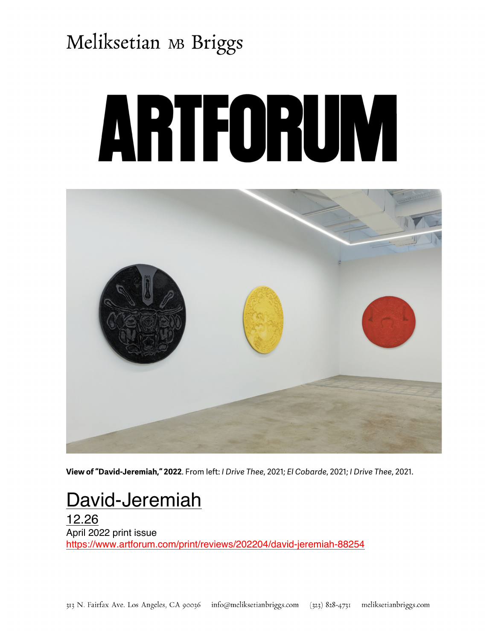# Meliksetian MB Briggs

# ARTFORUM



**View of "David-Jeremiah," 2022**. From left: *I Drive Thee*, 2021; *El Cobarde*, 2021; *I Drive Thee*, 2021.

#### David-Jeremiah

12.26 April 2022 print issue https://www.artforum.com/print/reviews/202204/david-jeremiah-88254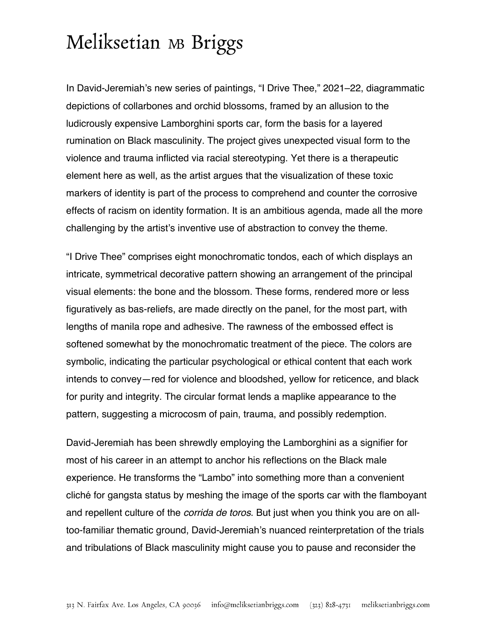### Meliksetian MB Briggs

In David-Jeremiah's new series of paintings, "I Drive Thee," 2021–22, diagrammatic depictions of collarbones and orchid blossoms, framed by an allusion to the ludicrously expensive Lamborghini sports car, form the basis for a layered rumination on Black masculinity. The project gives unexpected visual form to the violence and trauma inflicted via racial stereotyping. Yet there is a therapeutic element here as well, as the artist argues that the visualization of these toxic markers of identity is part of the process to comprehend and counter the corrosive effects of racism on identity formation. It is an ambitious agenda, made all the more challenging by the artist's inventive use of abstraction to convey the theme.

"I Drive Thee" comprises eight monochromatic tondos, each of which displays an intricate, symmetrical decorative pattern showing an arrangement of the principal visual elements: the bone and the blossom. These forms, rendered more or less figuratively as bas-reliefs, are made directly on the panel, for the most part, with lengths of manila rope and adhesive. The rawness of the embossed effect is softened somewhat by the monochromatic treatment of the piece. The colors are symbolic, indicating the particular psychological or ethical content that each work intends to convey—red for violence and bloodshed, yellow for reticence, and black for purity and integrity. The circular format lends a maplike appearance to the pattern, suggesting a microcosm of pain, trauma, and possibly redemption.

David-Jeremiah has been shrewdly employing the Lamborghini as a signifier for most of his career in an attempt to anchor his reflections on the Black male experience. He transforms the "Lambo" into something more than a convenient cliché for gangsta status by meshing the image of the sports car with the flamboyant and repellent culture of the *corrida de toros*. But just when you think you are on alltoo-familiar thematic ground, David-Jeremiah's nuanced reinterpretation of the trials and tribulations of Black masculinity might cause you to pause and reconsider the